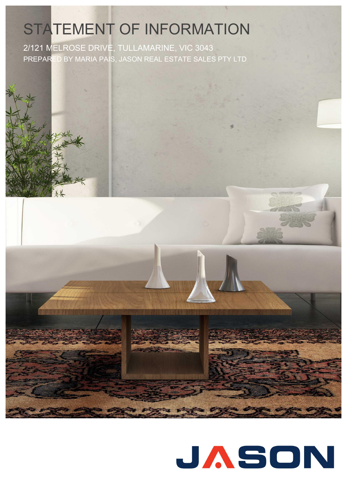## STATEMENT OF INFORMATION

2/121 MELROSE DRIVE, TULLAMARINE, VIC 3043 PREPARED BY MARIA PAIS, JASON REAL ESTATE SALES PTY LTD



# JASON